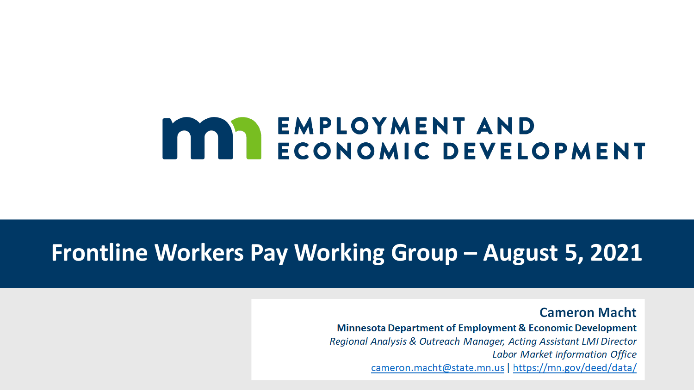# **MARY ENPLOYMENT AND<br>ECONOMIC DEVELOPMENT**

#### **Frontline Workers Pay Working Group – August 5, 2021**

**Cameron Macht Minnesota Department of Employment & Economic Development** Regional Analysis & Outreach Manager, Acting Assistant LMI Director **Labor Market Information Office** cameron.macht@state.mn.us | https://mn.gov/deed/data/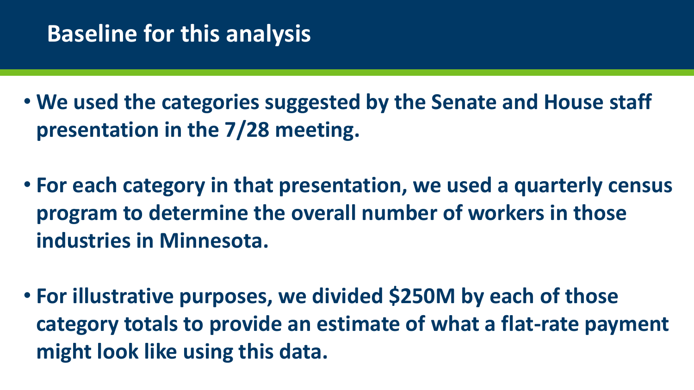# **Baseline for this analysis**

• **We used the categories suggested by the Senate and House staff presentation in the 7/28 meeting.**

- **For each category in that presentation, we used a quarterly census program to determine the overall number of workers in those industries in Minnesota.**
- **For illustrative purposes, we divided \$250M by each of those category totals to provide an estimate of what a flat-rate payment might look like using this data.**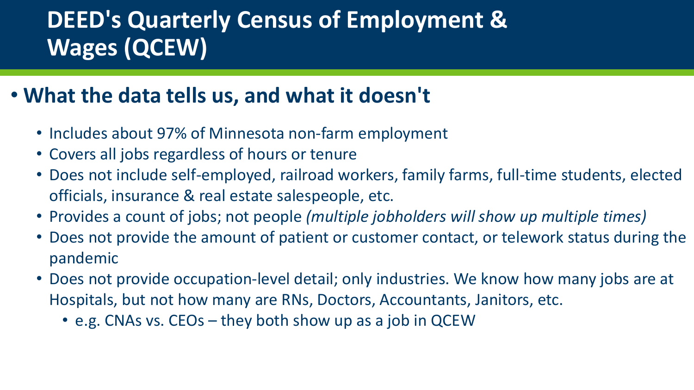# **DEED's Quarterly Census of Employment & Wages (QCEW)**

#### • **What the data tells us, and what it doesn't**

- Includes about 97% of Minnesota non-farm employment
- Covers all jobs regardless of hours or tenure
- Does not include self-employed, railroad workers, family farms, full-time students, elected officials, insurance & real estate salespeople, etc.
- Provides a count of jobs; not people *(multiple jobholders will show up multiple times)*
- Does not provide the amount of patient or customer contact, or telework status during the pandemic
- Does not provide occupation-level detail; only industries. We know how many jobs are at Hospitals, but not how many are RNs, Doctors, Accountants, Janitors, etc.
	- e.g. CNAs vs. CEOs they both show up as a job in QCEW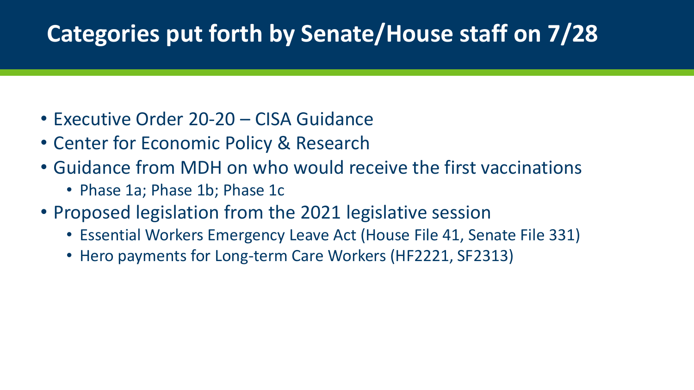# **Categories put forth by Senate/House staff on 7/28**

- Executive Order 20-20 CISA Guidance
- Center for Economic Policy & Research
- Guidance from MDH on who would receive the first vaccinations
	- Phase 1a; Phase 1b; Phase 1c
- Proposed legislation from the 2021 legislative session
	- Essential Workers Emergency Leave Act (House File 41, Senate File 331)
	- Hero payments for Long-term Care Workers (HF2221, SF2313)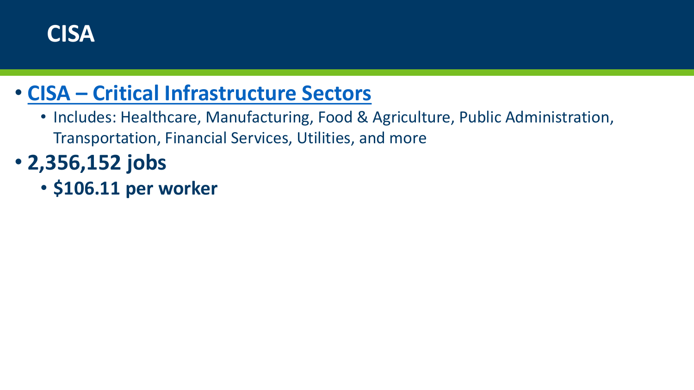

#### • **CISA – [Critical Infrastructure Sectors](https://www.cisa.gov/identifying-critical-infrastructure-during-covid-19)**

- Includes: Healthcare, Manufacturing, Food & Agriculture, Public Administration, Transportation, Financial Services, Utilities, and more
- **2,356,152 jobs**
	- **\$106.11 per worker**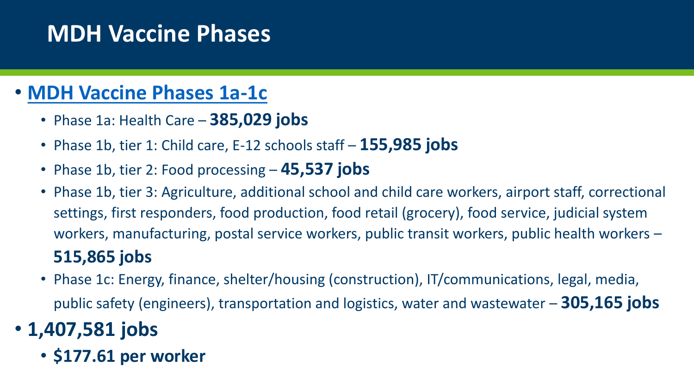# **MDH Vaccine Phases**

#### • **[MDH Vaccine Phases 1a-1c](https://www.health.state.mn.us/diseases/coronavirus/vaccine/plan.html)**

- Phase 1a: Health Care **385,029 jobs**
- Phase 1b, tier 1: Child care, E-12 schools staff **155,985 jobs**
- Phase 1b, tier 2: Food processing **45,537 jobs**
- Phase 1b, tier 3: Agriculture, additional school and child care workers, airport staff, correctional settings, first responders, food production, food retail (grocery), food service, judicial system workers, manufacturing, postal service workers, public transit workers, public health workers – **515,865 jobs**
- Phase 1c: Energy, finance, shelter/housing (construction), IT/communications, legal, media, public safety (engineers), transportation and logistics, water and wastewater – **305,165 jobs**
- **1,407,581 jobs**
	- **\$177.61 per worker**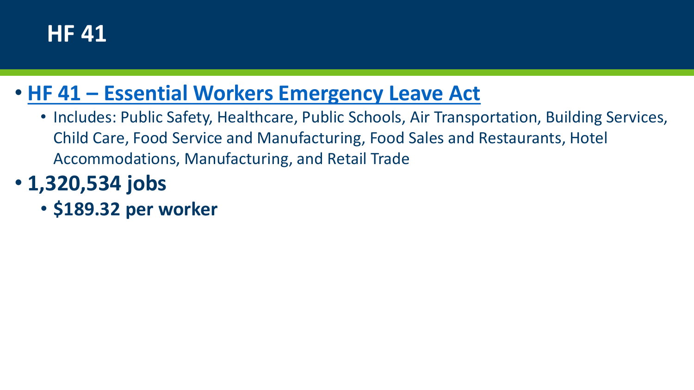### **HF 41**

#### • **HF 41 – [Essential Workers Emergency Leave Act](https://www.revisor.mn.gov/bills/text.php?number=HF41&type=bill&version=3&session=ls92&session_year=2021&session_number=0)**

• Includes: Public Safety, Healthcare, Public Schools, Air Transportation, Building Services, Child Care, Food Service and Manufacturing, Food Sales and Restaurants, Hotel Accommodations, Manufacturing, and Retail Trade

# • **1,320,534 jobs**

• **\$189.32 per worker**